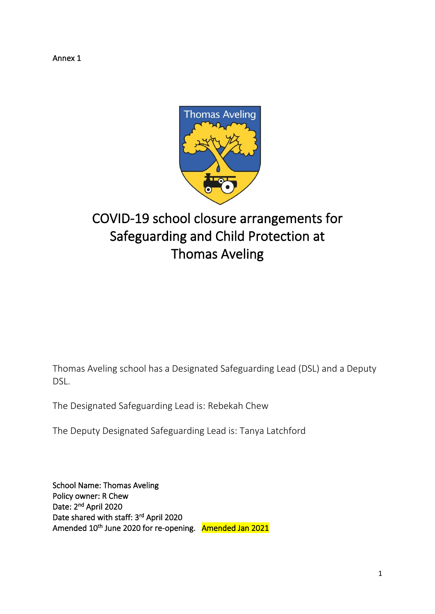Annex 1



# COVID-19 school closure arrangements for Safeguarding and Child Protection at Thomas Aveling

Thomas Aveling school has a Designated Safeguarding Lead (DSL) and a Deputy DSL.

The Designated Safeguarding Lead is: Rebekah Chew

The Deputy Designated Safeguarding Lead is: Tanya Latchford

School Name: Thomas Aveling Policy owner: R Chew Date: 2<sup>nd</sup> April 2020 Date shared with staff: 3<sup>rd</sup> April 2020 Amended 10<sup>th</sup> June 2020 for re-opening. Amended Jan 2021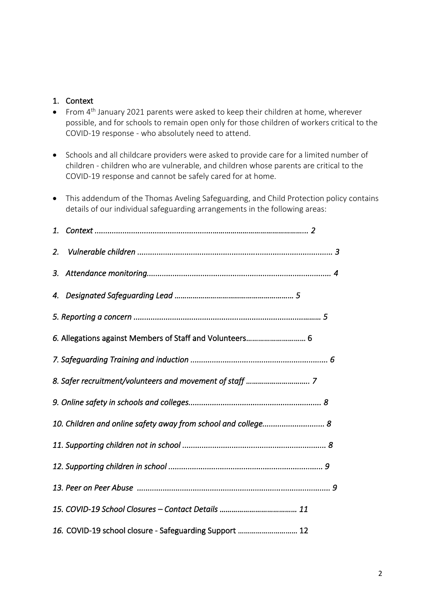#### 1. Context

- From 4<sup>th</sup> January 2021 parents were asked to keep their children at home, wherever possible, and for schools to remain open only for those children of workers critical to the COVID-19 response - who absolutely need to attend.
- Schools and all childcare providers were asked to provide care for a limited number of children - children who are vulnerable, and children whose parents are critical to the COVID-19 response and cannot be safely cared for at home.
- This addendum of the Thomas Aveling Safeguarding, and Child Protection policy contains details of our individual safeguarding arrangements in the following areas:

| 2.                                                       |  |
|----------------------------------------------------------|--|
| 3.                                                       |  |
| 4.                                                       |  |
|                                                          |  |
| 6. Allegations against Members of Staff and Volunteers 6 |  |
|                                                          |  |
|                                                          |  |
|                                                          |  |
|                                                          |  |
|                                                          |  |
|                                                          |  |
|                                                          |  |
|                                                          |  |
| 16. COVID-19 school closure - Safeguarding Support  12   |  |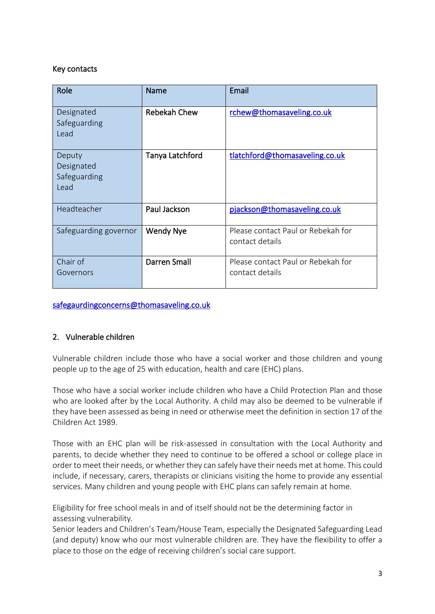## Key contacts

| Role                                         | Name                | Email                                                 |
|----------------------------------------------|---------------------|-------------------------------------------------------|
| Designated<br>Safeguarding<br>Lead           | <b>Rebekah Chew</b> | rchew@thomasaveling.co.uk                             |
| Deputy<br>Designated<br>Safeguarding<br>Lead | Tanya Latchford     | tlatchford@thomasaveling.co.uk                        |
| Headteacher                                  | Paul Jackson        | pjackson@thomasaveling.co.uk                          |
| Safeguarding governor                        | <b>Wendy Nye</b>    | Please contact Paul or Rebekah for<br>contact details |
| Chair of<br>Governors                        | Darren Small        | Please contact Paul or Rebekah for<br>contact details |

[safegaurdingconcerns@thomasaveling.co.uk](mailto:safegaurdingconcerns@thomasaveling.co.uk) 

# 2. Vulnerable children

Vulnerable children include those who have a social worker and those children and young people up to the age of 25 with education, health and care (EHC) plans.

Those who have a social worker include children who have a Child Protection Plan and those who are looked after by the Local Authority. A child may also be deemed to be vulnerable if they have been assessed as being in need or otherwise meet the definition in section 17 of the Children Act 1989.

Those with an EHC plan will be risk-assessed in consultation with the Local Authority and parents, to decide whether they need to continue to be offered a school or college place in order to meet their needs, or whether they can safely have their needs met at home. This could include, if necessary, carers, therapists or clinicians visiting the home to provide any essential services. Many children and young people with EHC plans can safely remain at home.

Eligibility for free school meals in and of itself should not be the determining factor in assessing vulnerability.

Senior leaders and Children's Team/House Team, especially the Designated Safeguarding Lead (and deputy) know who our most vulnerable children are. They have the flexibility to offer a place to those on the edge of receiving children's social care support.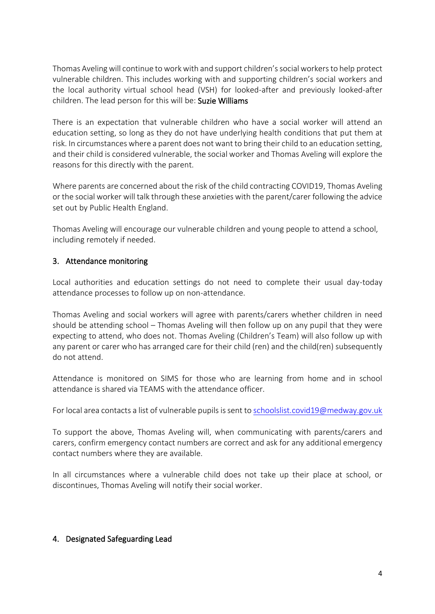Thomas Avelingwill continue to work with and support children's social workers to help protect vulnerable children. This includes working with and supporting children's social workers and the local authority virtual school head (VSH) for looked-after and previously looked-after children. The lead person for this will be: Suzie Williams

There is an expectation that vulnerable children who have a social worker will attend an education setting, so long as they do not have underlying health conditions that put them at risk. In circumstances where a parent does not want to bring their child to an education setting, and their child is considered vulnerable, the social worker and Thomas Aveling will explore the reasons for this directly with the parent.

Where parents are concerned about the risk of the child contracting COVID19, Thomas Aveling or the social worker will talk through these anxieties with the parent/carer following the advice set out by Public Health England.

Thomas Aveling will encourage our vulnerable children and young people to attend a school, including remotely if needed.

## 3. Attendance monitoring

Local authorities and education settings do not need to complete their usual day-today attendance processes to follow up on non-attendance.

Thomas Aveling and social workers will agree with parents/carers whether children in need should be attending school – Thomas Aveling will then follow up on any pupil that they were expecting to attend, who does not. Thomas Aveling (Children's Team) will also follow up with any parent or carer who has arranged care for their child (ren) and the child(ren) subsequently do not attend.

Attendance is monitored on SIMS for those who are learning from home and in school attendance is shared via TEAMS with the attendance officer.

For local area contacts a list of vulnerable pupils is sent to [schoolslist.covid19@medway.gov.uk](mailto:schoolslist.covid19@medway.gov.uk)

To support the above, Thomas Aveling will, when communicating with parents/carers and carers, confirm emergency contact numbers are correct and ask for any additional emergency contact numbers where they are available.

In all circumstances where a vulnerable child does not take up their place at school, or discontinues, Thomas Aveling will notify their social worker.

# 4. Designated Safeguarding Lead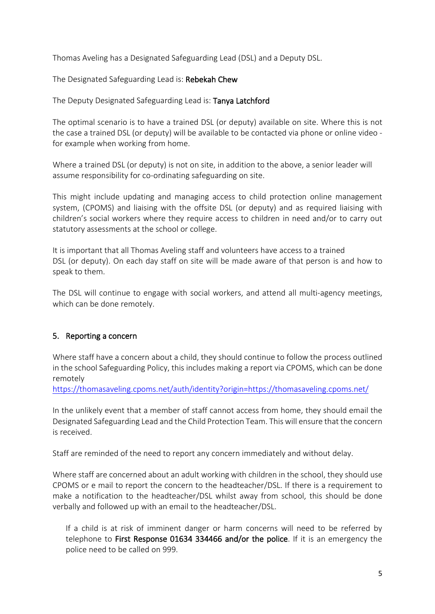Thomas Aveling has a Designated Safeguarding Lead (DSL) and a Deputy DSL.

The Designated Safeguarding Lead is: Rebekah Chew

The Deputy Designated Safeguarding Lead is: Tanya Latchford

The optimal scenario is to have a trained DSL (or deputy) available on site. Where this is not the case a trained DSL (or deputy) will be available to be contacted via phone or online video for example when working from home.

Where a trained DSL (or deputy) is not on site, in addition to the above, a senior leader will assume responsibility for co-ordinating safeguarding on site.

This might include updating and managing access to child protection online management system, (CPOMS) and liaising with the offsite DSL (or deputy) and as required liaising with children's social workers where they require access to children in need and/or to carry out statutory assessments at the school or college.

It is important that all Thomas Aveling staff and volunteers have access to a trained DSL (or deputy). On each day staff on site will be made aware of that person is and how to speak to them.

The DSL will continue to engage with social workers, and attend all multi-agency meetings, which can be done remotely.

# 5. Reporting a concern

Where staff have a concern about a child, they should continue to follow the process outlined in the school Safeguarding Policy, this includes making a report via CPOMS, which can be done remotely

<https://thomasaveling.cpoms.net/auth/identity?origin=https://thomasaveling.cpoms.net/>

In the unlikely event that a member of staff cannot access from home, they should email the Designated Safeguarding Lead and the Child Protection Team. This will ensure that the concern is received.

Staff are reminded of the need to report any concern immediately and without delay.

Where staff are concerned about an adult working with children in the school, they should use CPOMS or e mail to report the concern to the headteacher/DSL. If there is a requirement to make a notification to the headteacher/DSL whilst away from school, this should be done verbally and followed up with an email to the headteacher/DSL.

If a child is at risk of imminent danger or harm concerns will need to be referred by telephone to First Response 01634 334466 and/or the police. If it is an emergency the police need to be called on 999.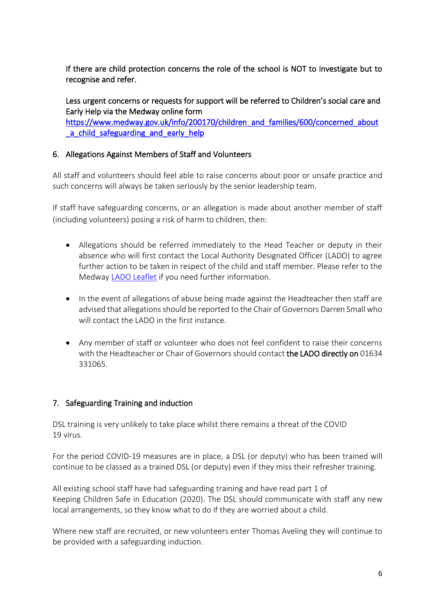If there are child protection concerns the role of the school is NOT to investigate but to recognise and refer.

Less urgent concerns or requests for support will be referred to Children's social care and Early Help via the Medway online form

[https://www.medway.gov.uk/info/200170/children\\_and\\_families/600/concerned\\_about](https://www.medway.gov.uk/info/200170/children_and_families/600/concerned_about_a_child_safeguarding_and_early_help) a child safeguarding and early help

# 6. Allegations Against Members of Staff and Volunteers

All staff and volunteers should feel able to raise concerns about poor or unsafe practice and such concerns will always be taken seriously by the senior leadership team.

If staff have safeguarding concerns, or an allegation is made about another member of staff (including volunteers) posing a risk of harm to children, then:

- Allegations should be referred immediately to the Head Teacher or deputy in their absence who will first contact the Local Authority Designated Officer (LADO) to agree further action to be taken in respect of the child and staff member. Please refer to the Medway [LADO Leaflet](https://www.medwayscp.org.uk/mscb/downloads/file/15/local-authority-designated-officer-leaflet) if you need further information.
- In the event of allegations of abuse being made against the Headteacher then staff are advised that allegations should be reported to the Chair of Governors Darren Small who will contact the LADO in the first instance.
- Any member of staff or volunteer who does not feel confident to raise their concerns with the Headteacher or Chair of Governors should contact the LADO directly on 01634 331065.

# 7. Safeguarding Training and induction

DSL training is very unlikely to take place whilst there remains a threat of the COVID 19 virus.

For the period COVID-19 measures are in place, a DSL (or deputy) who has been trained will continue to be classed as a trained DSL (or deputy) even if they miss their refresher training.

All existing school staff have had safeguarding training and have read part 1 of Keeping Children Safe in Education (2020). The DSL should communicate with staff any new local arrangements, so they know what to do if they are worried about a child.

Where new staff are recruited, or new volunteers enter Thomas Aveling they will continue to be provided with a safeguarding induction.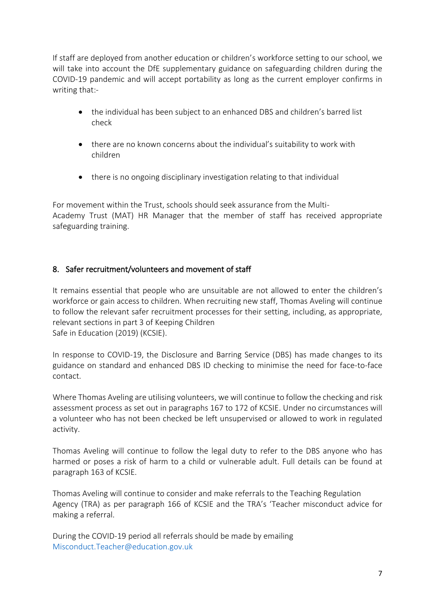If staff are deployed from another education or children's workforce setting to our school, we will take into account the DfE supplementary guidance on safeguarding children during the COVID-19 pandemic and will accept portability as long as the current employer confirms in writing that:-

- the individual has been subject to an enhanced DBS and children's barred list check
- there are no known concerns about the individual's suitability to work with children
- there is no ongoing disciplinary investigation relating to that individual

For movement within the Trust, schools should seek assurance from the Multi-Academy Trust (MAT) HR Manager that the member of staff has received appropriate safeguarding training.

# 8. Safer recruitment/volunteers and movement of staff

It remains essential that people who are unsuitable are not allowed to enter the children's workforce or gain access to children. When recruiting new staff, Thomas Aveling will continue to follow the relevant safer recruitment processes for their setting, including, as appropriate, relevant sections in part 3 of Keeping Children Safe in Education (2019) (KCSIE).

In response to COVID-19, the Disclosure and Barring Service (DBS) has made changes to its guidance on standard and enhanced DBS ID checking to minimise the need for face-to-face contact.

Where Thomas Aveling are utilising volunteers, we will continue to follow the checking and risk assessment process as set out in paragraphs 167 to 172 of KCSIE. Under no circumstances will a volunteer who has not been checked be left unsupervised or allowed to work in regulated activity.

Thomas Aveling will continue to follow the legal duty to refer to the DBS anyone who has harmed or poses a risk of harm to a child or vulnerable adult. Full details can be found at paragraph 163 of KCSIE.

Thomas Aveling will continue to consider and make referrals to the Teaching Regulation Agency (TRA) as per paragraph 166 of KCSIE and the TRA's 'Teacher misconduct advice for making a referral.

During the COVID-19 period all referrals should be made by emailing Misconduct.Teacher@education.gov.uk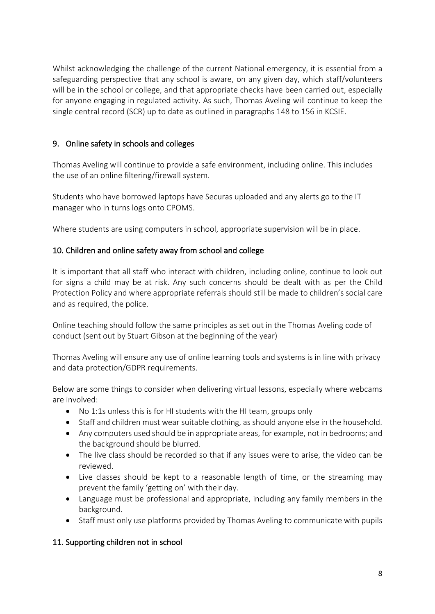Whilst acknowledging the challenge of the current National emergency, it is essential from a safeguarding perspective that any school is aware, on any given day, which staff/volunteers will be in the school or college, and that appropriate checks have been carried out, especially for anyone engaging in regulated activity. As such, Thomas Aveling will continue to keep the single central record (SCR) up to date as outlined in paragraphs 148 to 156 in KCSIE.

# 9. Online safety in schools and colleges

Thomas Aveling will continue to provide a safe environment, including online. This includes the use of an online filtering/firewall system.

Students who have borrowed laptops have Securas uploaded and any alerts go to the IT manager who in turns logs onto CPOMS.

Where students are using computers in school, appropriate supervision will be in place.

## 10. Children and online safety away from school and college

It is important that all staff who interact with children, including online, continue to look out for signs a child may be at risk. Any such concerns should be dealt with as per the Child Protection Policy and where appropriate referrals should still be made to children's social care and as required, the police.

Online teaching should follow the same principles as set out in the Thomas Aveling code of conduct (sent out by Stuart Gibson at the beginning of the year)

Thomas Aveling will ensure any use of online learning tools and systems is in line with privacy and data protection/GDPR requirements.

Below are some things to consider when delivering virtual lessons, especially where webcams are involved:

- No 1:1s unless this is for HI students with the HI team, groups only
- Staff and children must wear suitable clothing, as should anyone else in the household.
- Any computers used should be in appropriate areas, for example, not in bedrooms; and the background should be blurred.
- The live class should be recorded so that if any issues were to arise, the video can be reviewed.
- Live classes should be kept to a reasonable length of time, or the streaming may prevent the family 'getting on' with their day.
- Language must be professional and appropriate, including any family members in the background.
- Staff must only use platforms provided by Thomas Aveling to communicate with pupils

# 11. Supporting children not in school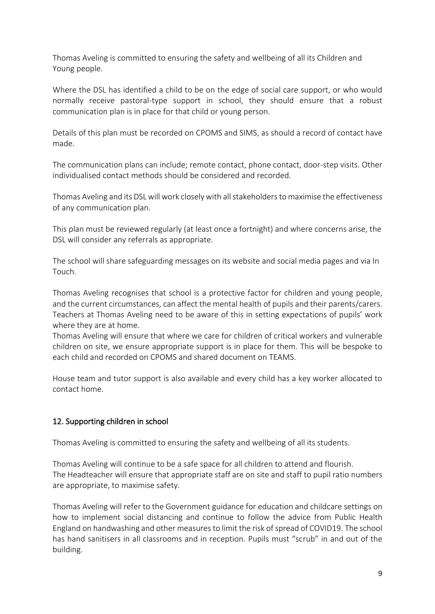Thomas Aveling is committed to ensuring the safety and wellbeing of all its Children and Young people.

Where the DSL has identified a child to be on the edge of social care support, or who would normally receive pastoral-type support in school, they should ensure that a robust communication plan is in place for that child or young person.

Details of this plan must be recorded on CPOMS and SIMS, as should a record of contact have made.

The communication plans can include; remote contact, phone contact, door-step visits. Other individualised contact methods should be considered and recorded.

Thomas Aveling and its DSL will work closely with all stakeholders to maximise the effectiveness of any communication plan.

This plan must be reviewed regularly (at least once a fortnight) and where concerns arise, the DSL will consider any referrals as appropriate.

The school will share safeguarding messages on its website and social media pages and via In Touch.

Thomas Aveling recognises that school is a protective factor for children and young people, and the current circumstances, can affect the mental health of pupils and their parents/carers. Teachers at Thomas Aveling need to be aware of this in setting expectations of pupils' work where they are at home.

Thomas Aveling will ensure that where we care for children of critical workers and vulnerable children on site, we ensure appropriate support is in place for them. This will be bespoke to each child and recorded on CPOMS and shared document on TEAMS.

House team and tutor support is also available and every child has a key worker allocated to contact home.

# 12. Supporting children in school

Thomas Aveling is committed to ensuring the safety and wellbeing of all its students.

Thomas Aveling will continue to be a safe space for all children to attend and flourish. The Headteacher will ensure that appropriate staff are on site and staff to pupil ratio numbers are appropriate, to maximise safety.

Thomas Aveling will refer to the Government guidance for education and childcare settings on how to implement social distancing and continue to follow the advice from Public Health England on handwashing and other measures to limit the risk ofspread of COVID19. The school has hand sanitisers in all classrooms and in reception. Pupils must "scrub" in and out of the building.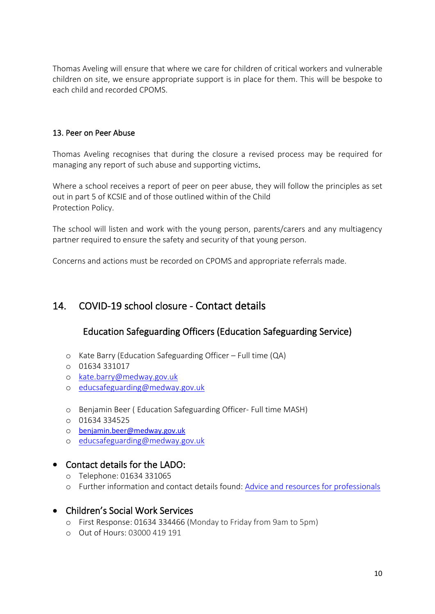Thomas Aveling will ensure that where we care for children of critical workers and vulnerable children on site, we ensure appropriate support is in place for them. This will be bespoke to each child and recorded CPOMS.

#### 13. Peer on Peer Abuse

Thomas Aveling recognises that during the closure a revised process may be required for managing any report of such abuse and supporting victims.

Where a school receives a report of peer on peer abuse, they will follow the principles as set out in part 5 of KCSIE and of those outlined within of the Child Protection Policy.

The school will listen and work with the young person, parents/carers and any multiagency partner required to ensure the safety and security of that young person.

Concerns and actions must be recorded on CPOMS and appropriate referrals made.

# 14. COVID-19 school closure - Contact details

# Education Safeguarding Officers (Education Safeguarding Service)

- o Kate Barry (Education Safeguarding Officer Full time (QA)
- o 01634 331017
- o [kate.barry@medway.gov.uk](mailto:kate.barry@medway.gov.uk)
- o [educsafeguarding@medway.gov.uk](mailto:educsafeguarding@medway.gov.uk)
- o Benjamin Beer ( Education Safeguarding Officer- Full time MASH)
- o 01634 334525
- o [benjamin.beer@medway.gov.uk](mailto:benjamin.beer@medway.gov.uk)
- o [educsafeguarding@medway.gov.uk](mailto:educsafeguarding@medway.gov.uk)

# • Contact details for the LADO:

- o Telephone: 01634 331065
- o Further information and contact details found: [Advice and resources for professionals](https://www.medway.gov.uk/mscb/info/4/advice-resources-professionals/2/concerned-childcare-professional)

# • Children's Social Work Services

- o First Response: 01634 334466 (Monday to Friday from 9am to 5pm)
- o Out of Hours: 03000 419 191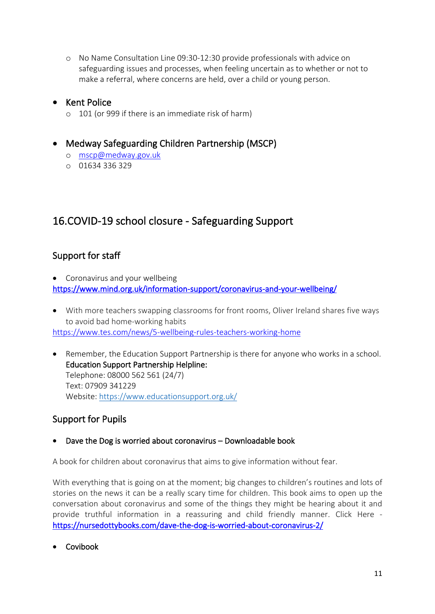o No Name Consultation Line 09:30-12:30 provide professionals with advice on safeguarding issues and processes, when feeling uncertain as to whether or not to make a referral, where concerns are held, over a child or young person.

# • Kent Police

o 101 (or 999 if there is an immediate risk of harm)

# • Medway Safeguarding Children Partnership (MSCP)

- o [mscp@medway.gov.uk](mailto:mscp@medway.gov.uk)
- o 01634 336 329

# 16.COVID-19 school closure - Safeguarding Support

# Support for staff

• Coronavirus and your wellbeing <https://www.mind.org.uk/information-support/coronavirus-and-your-wellbeing/>

- With more teachers swapping classrooms for front rooms, Oliver Ireland shares five ways to avoid bad home-working habits <https://www.tes.com/news/5-wellbeing-rules-teachers-working-home>
- Remember, the Education Support Partnership is there for anyone who works in a school. Education Support Partnership Helpline: Telephone: 08000 562 561 (24/7) Text: 07909 341229 Website: [https://www.educationsupport.org.uk/](http://briefing.safeguardinginschools.co.uk/lt.php?s=25dab6c6eda9efcd34f362ff883ac688&i=105A139A5A1261)

# Support for Pupils

• Dave the Dog is worried about coronavirus – Downloadable book

A book for children about coronavirus that aims to give information without fear.

With everything that is going on at the moment; big changes to children's routines and lots of stories on the news it can be a really scary time for children. This book aims to open up the conversation about coronavirus and some of the things they might be hearing about it and provide truthful information in a reassuring and child friendly manner. Click Here <https://nursedottybooks.com/dave-the-dog-is-worried-about-coronavirus-2/>

• Covibook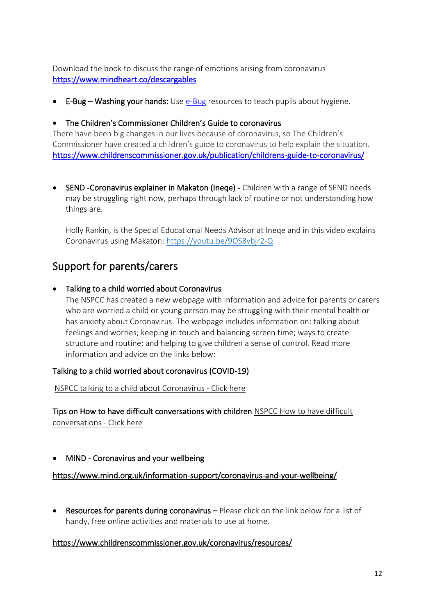Download the book to discuss the range of emotions arising from coronavirus <https://www.mindheart.co/descargables>

• E-Bug – Washing your hands: Use [e-Bug](https://campaignresources.phe.gov.uk/schools) resources to teach pupils about hygiene.

#### • The Children's Commissioner Children's Guide to coronavirus

There have been big changes in our lives because of coronavirus, so The Children's Commissioner have created a children's guide to coronavirus to help explain the situation. <https://www.childrenscommissioner.gov.uk/publication/childrens-guide-to-coronavirus/>

• SEND -Coronavirus explainer in Makaton (Ineqe) - Children with a range of SEND needs may be struggling right now, perhaps through lack of routine or not understanding how things are.

Holly Rankin, is the Special Educational Needs Advisor at Ineqe and in this video explains Coronavirus using Makaton: [https://youtu.be/9OS8vbjr2-Q](http://briefing.safeguardinginschools.co.uk/lt.php?s=25dab6c6eda9efcd34f362ff883ac688&i=105A139A5A1275) 

# Support for parents/carers

• Talking to a child worried about Coronavirus

The NSPCC has created a new webpage with information and advice for parents or carers who are worried a child or young person may be struggling with their mental health or has anxiety about Coronavirus. The webpage includes information on: talking about feelings and worries; keeping in touch and balancing screen time; ways to create structure and routine; and helping to give children a sense of control. Read more information and advice on the links below:

#### Talking to a child worried about coronavirus (COVID-19)

 [NSPCC talking to a child about Coronavirus -](https://www.nspcc.org.uk/keeping-children-safe/childrens-mental-health/depression-anxiety-mental-health/?utm_source=Adestra&utm_medium=email&utm_content=Talking%20to%20a%20child%20worried%20about%20coronavirus%20%28COVID-19%29&utm_campaign=CASPAR-2019-03-30) Click here

Tips on How to have difficult conversations with children [NSPCC How to have difficult](https://learning.nspcc.org.uk/safeguarding-child-protection/how-to-have-difficult-conversations-with-children/)  [conversations -](https://learning.nspcc.org.uk/safeguarding-child-protection/how-to-have-difficult-conversations-with-children/) Click here

• MIND - Coronavirus and your wellbeing

#### <https://www.mind.org.uk/information-support/coronavirus-and-your-wellbeing/>

• Resources for parents during coronavirus – Please click on the link below for a list of handy, free online activities and materials to use at home.

#### <https://www.childrenscommissioner.gov.uk/coronavirus/resources/>